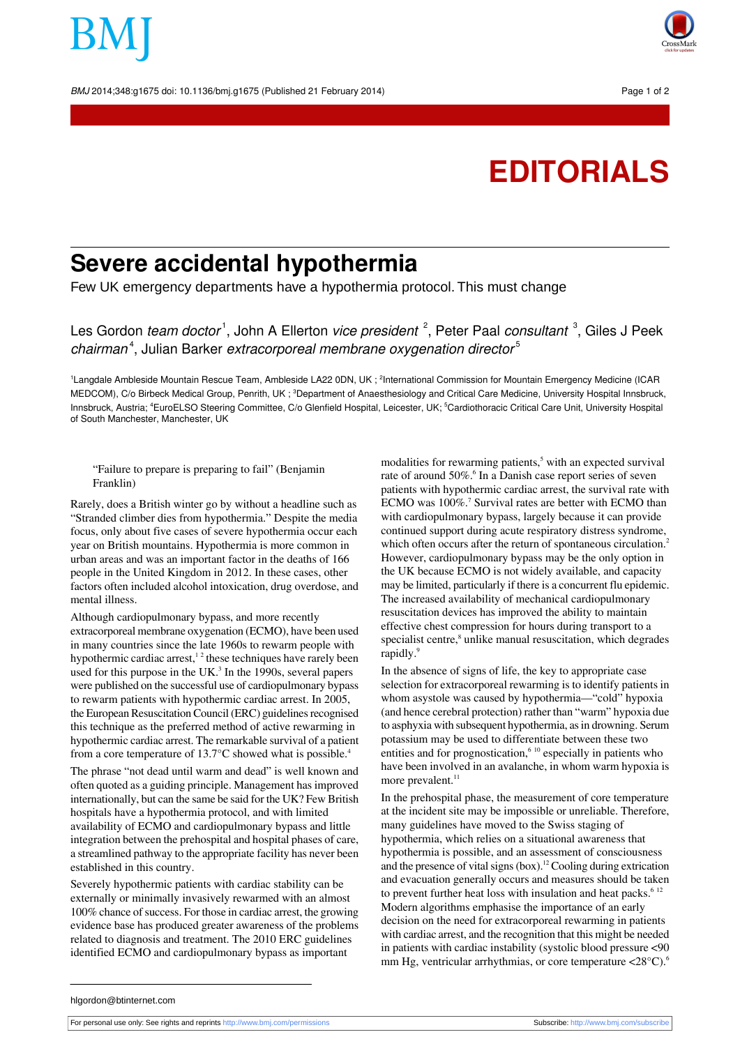BMJ 2014;348:g1675 doi: 10.1136/bmj.g1675 (Published 21 February 2014) Page 1 of 2



# **EDITORIALS**

# **Severe accidental hypothermia**

Few UK emergency departments have a hypothermia protocol. This must change

Les Gordon *team doctor* <sup>1</sup>, John A Ellerton *vice president <sup>2</sup>,* Peter Paal *consultant <sup>3</sup>, Giles J Peek* chairman<sup>4</sup>, Julian Barker extracorporeal membrane oxygenation director<sup>5</sup>

<sup>1</sup>Langdale Ambleside Mountain Rescue Team, Ambleside LA22 0DN, UK ; <sup>2</sup>International Commission for Mountain Emergency Medicine (ICAR MEDCOM), C/o Birbeck Medical Group, Penrith, UK ; <sup>3</sup>Department of Anaesthesiology and Critical Care Medicine, University Hospital Innsbruck, Innsbruck, Austria; <sup>4</sup>EuroELSO Steering Committee, C/o Glenfield Hospital, Leicester, UK; <sup>5</sup>Cardiothoracic Critical Care Unit, University Hospital of South Manchester, Manchester, UK

## "Failure to prepare is preparing to fail" (Benjamin Franklin)

Rarely, does a British winter go by without a headline such as "Stranded climber dies from hypothermia." Despite the media focus, only about five cases of severe hypothermia occur each year on British mountains. Hypothermia is more common in urban areas and was an important factor in the deaths of 166 people in the United Kingdom in 2012. In these cases, other factors often included alcohol intoxication, drug overdose, and mental illness.

Although cardiopulmonary bypass, and more recently extracorporeal membrane oxygenation (ECMO), have been used in many countries since the late 1960s to rewarm people with hypothermic cardiac arrest,<sup>12</sup> these techniques have rarely been used for this purpose in the UK $<sup>3</sup>$  In the 1990s, several papers</sup> were published on the successful use of cardiopulmonary bypass to rewarm patients with hypothermic cardiac arrest. In 2005, the European Resuscitation Council (ERC) guidelines recognised this technique as the preferred method of active rewarming in hypothermic cardiac arrest. The remarkable survival of a patient from a core temperature of 13.7°C showed what is possible.<sup>4</sup>

The phrase "not dead until warm and dead" is well known and often quoted as a guiding principle. Management has improved internationally, but can the same be said for the UK? Few British hospitals have a hypothermia protocol, and with limited availability of ECMO and cardiopulmonary bypass and little integration between the prehospital and hospital phases of care, a streamlined pathway to the appropriate facility has never been established in this country.

Severely hypothermic patients with cardiac stability can be externally or minimally invasively rewarmed with an almost 100% chance of success. For those in cardiac arrest, the growing evidence base has produced greater awareness of the problems related to diagnosis and treatment. The 2010 ERC guidelines identified ECMO and cardiopulmonary bypass as important

modalities for rewarming patients,<sup>5</sup> with an expected survival rate of around 50%.<sup>6</sup> In a Danish case report series of seven patients with hypothermic cardiac arrest, the survival rate with ECMO was 100%.<sup>7</sup> Survival rates are better with ECMO than with cardiopulmonary bypass, largely because it can provide continued support during acute respiratory distress syndrome, which often occurs after the return of spontaneous circulation.<sup>2</sup> However, cardiopulmonary bypass may be the only option in the UK because ECMO is not widely available, and capacity may be limited, particularly if there is a concurrent flu epidemic. The increased availability of mechanical cardiopulmonary resuscitation devices has improved the ability to maintain effective chest compression for hours during transport to a specialist centre,<sup>8</sup> unlike manual resuscitation, which degrades rapidly.<sup>9</sup>

In the absence of signs of life, the key to appropriate case selection for extracorporeal rewarming is to identify patients in whom asystole was caused by hypothermia—"cold" hypoxia (and hence cerebral protection) rather than "warm" hypoxia due to asphyxia with subsequent hypothermia, as in drowning. Serum potassium may be used to differentiate between these two entities and for prognostication, $610$  especially in patients who have been involved in an avalanche, in whom warm hypoxia is more prevalent.<sup>11</sup>

In the prehospital phase, the measurement of core temperature at the incident site may be impossible or unreliable. Therefore, many guidelines have moved to the Swiss staging of hypothermia, which relies on a situational awareness that hypothermia is possible, and an assessment of consciousness and the presence of vital signs  $(box)^{12}$  Cooling during extrication and evacuation generally occurs and measures should be taken to prevent further heat loss with insulation and heat packs. $6^{12}$ Modern algorithms emphasise the importance of an early decision on the need for extracorporeal rewarming in patients with cardiac arrest, and the recognition that this might be needed in patients with cardiac instability (systolic blood pressure <90 mm Hg, ventricular arrhythmias, or core temperature  $\langle 28^{\circ} \text{C} \rangle$ .<sup>6</sup>

hlgordon@btinternet.com

```
 http://www.bmj.com/permissionshttp://www.bmj.com/subscribe
```